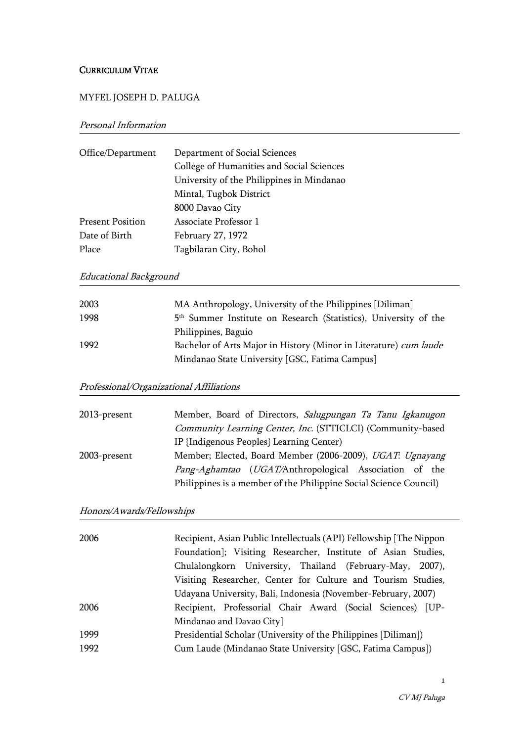## CURRICULUM VITAE

## MYFEL JOSEPH D. PALUGA

## Personal Information

| Office/Department       | Department of Social Sciences             |
|-------------------------|-------------------------------------------|
|                         | College of Humanities and Social Sciences |
|                         | University of the Philippines in Mindanao |
|                         | Mintal, Tugbok District                   |
|                         | 8000 Davao City                           |
| <b>Present Position</b> | Associate Professor 1                     |
| Date of Birth           | February 27, 1972                         |
| Place                   | Tagbilaran City, Bohol                    |

# Educational Background

| 2003 | MA Anthropology, University of the Philippines [Diliman]                     |
|------|------------------------------------------------------------------------------|
| 1998 | 5 <sup>th</sup> Summer Institute on Research (Statistics), University of the |
|      | Philippines, Baguio                                                          |
| 1992 | Bachelor of Arts Major in History (Minor in Literature) cum laude            |
|      | Mindanao State University [GSC, Fatima Campus]                               |

# Professional/Organizational Affiliations

| 2013-present | Member, Board of Directors, Salugpungan Ta Tanu Igkanugon         |
|--------------|-------------------------------------------------------------------|
|              | Community Learning Center, Inc. (STTICLCI) (Community-based       |
|              | IP {Indigenous Peoples} Learning Center)                          |
| 2003-present | Member; Elected, Board Member (2006-2009), UGAT: Ugnayang         |
|              | Pang-Aghamtao (UGAT/Anthropological Association of the            |
|              | Philippines is a member of the Philippine Social Science Council) |

# Honors/Awards/Fellowships

| 2006 | Recipient, Asian Public Intellectuals (API) Fellowship [The Nippon |
|------|--------------------------------------------------------------------|
|      | Foundation]; Visiting Researcher, Institute of Asian Studies,      |
|      | Chulalongkorn University, Thailand (February-May, 2007),           |
|      | Visiting Researcher, Center for Culture and Tourism Studies,       |
|      | Udayana University, Bali, Indonesia (November-February, 2007)      |
| 2006 | Recipient, Professorial Chair Award (Social Sciences) [UP-         |
|      | Mindanao and Davao City]                                           |
| 1999 | Presidential Scholar (University of the Philippines [Diliman])     |
| 1992 | Cum Laude (Mindanao State University [GSC, Fatima Campus])         |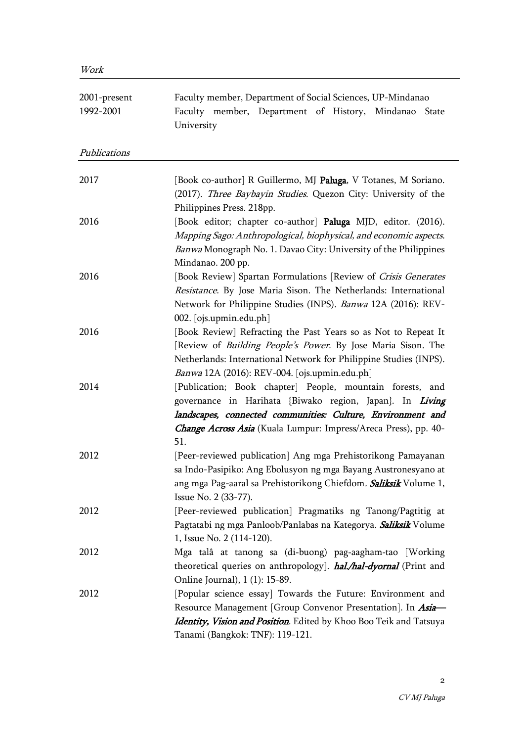| 2001-present<br>1992-2001 | Faculty member, Department of Social Sciences, UP-Mindanao<br>Faculty member, Department of History, Mindanao State<br>University                                                                                                                              |
|---------------------------|----------------------------------------------------------------------------------------------------------------------------------------------------------------------------------------------------------------------------------------------------------------|
| Publications              |                                                                                                                                                                                                                                                                |
| 2017                      | [Book co-author] R Guillermo, MJ Paluga, V Totanes, M Soriano.<br>(2017). Three Baybayin Studies. Quezon City: University of the<br>Philippines Press. 218pp.                                                                                                  |
| 2016                      | [Book editor; chapter co-author] Paluga MJD, editor. (2016).<br>Mapping Sago: Anthropological, biophysical, and economic aspects.<br>Banwa Monograph No. 1. Davao City: University of the Philippines<br>Mindanao. 200 pp.                                     |
| 2016                      | [Book Review] Spartan Formulations [Review of Crisis Generates<br>Resistance. By Jose Maria Sison. The Netherlands: International<br>Network for Philippine Studies (INPS). Banwa 12A (2016): REV-<br>002. [ojs.upmin.edu.ph]                                  |
| 2016                      | [Book Review] Refracting the Past Years so as Not to Repeat It<br>[Review of <i>Building People's Power</i> . By Jose Maria Sison. The<br>Netherlands: International Network for Philippine Studies (INPS).<br>Banwa 12A (2016): REV-004. [ojs.upmin.edu.ph]   |
| 2014                      | [Publication; Book chapter] People, mountain forests, and<br>governance in Harihata {Biwako region, Japan}. In Living<br>landscapes, connected communities: Culture, Environment and<br>Change Across Asia (Kuala Lumpur: Impress/Areca Press), pp. 40-<br>51. |
| 2012                      | [Peer-reviewed publication] Ang mga Prehistorikong Pamayanan<br>sa Indo-Pasipiko: Ang Ebolusyon ng mga Bayang Austronesyano at<br>ang mga Pag-aaral sa Prehistorikong Chiefdom. Saliksik Volume 1,<br>Issue No. 2 (33-77).                                     |
| 2012                      | [Peer-reviewed publication] Pragmatiks ng Tanong/Pagtitig at<br>Pagtatabi ng mga Panloob/Panlabas na Kategorya. Saliksik Volume<br>1, Issue No. 2 (114-120).                                                                                                   |
| 2012                      | Mga talâ at tanong sa (di-buong) pag-aagham-tao [Working<br>theoretical queries on anthropology]. <b>hal./hal-dyornal</b> (Print and<br>Online Journal), 1 (1): 15-89.                                                                                         |
| 2012                      | [Popular science essay] Towards the Future: Environment and<br>Resource Management [Group Convenor Presentation]. In Asia-<br>Identity, Vision and Position. Edited by Khoo Boo Teik and Tatsuya<br>Tanami (Bangkok: TNF): 119-121.                            |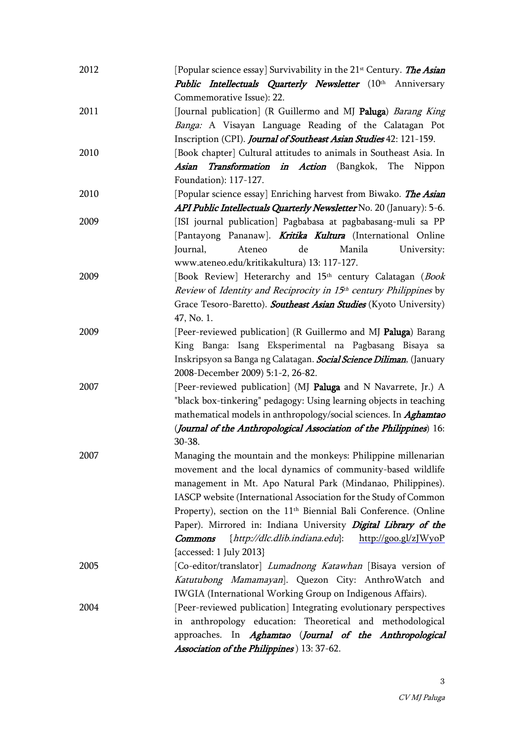| 2012 | [Popular science essay] Survivability in the 21 <sup>st</sup> Century. <i>The Asian</i><br><b>Public Intellectuals Quarterly Newsletter</b> (10th Anniversary                                                                                                                                                                                                                                                                                                                                                  |
|------|----------------------------------------------------------------------------------------------------------------------------------------------------------------------------------------------------------------------------------------------------------------------------------------------------------------------------------------------------------------------------------------------------------------------------------------------------------------------------------------------------------------|
|      | Commemorative Issue): 22.                                                                                                                                                                                                                                                                                                                                                                                                                                                                                      |
| 2011 | [Journal publication] (R Guillermo and MJ Paluga) Barang King<br>Banga: A Visayan Language Reading of the Calatagan Pot<br>Inscription (CPI). Journal of Southeast Asian Studies 42: 121-159.                                                                                                                                                                                                                                                                                                                  |
| 2010 | [Book chapter] Cultural attitudes to animals in Southeast Asia. In<br>Transformation in Action (Bangkok, The Nippon<br>Asian<br>Foundation): 117-127.                                                                                                                                                                                                                                                                                                                                                          |
| 2010 | [Popular science essay] Enriching harvest from Biwako. <i>The Asian</i><br>API Public Intellectuals Quarterly Newsletter No. 20 (January): 5-6.                                                                                                                                                                                                                                                                                                                                                                |
| 2009 | [ISI journal publication] Pagbabasa at pagbabasang-muli sa PP<br>[Pantayong Pananaw]. <b>Kritika Kultura</b> (International Online<br>de<br>Journal,<br>Ateneo<br>Manila<br>University:<br>www.ateneo.edu/kritikakultura) 13: 117-127.                                                                                                                                                                                                                                                                         |
| 2009 | [Book Review] Heterarchy and 15 <sup>th</sup> century Calatagan (Book<br>Review of Identity and Reciprocity in 15th century Philippines by<br>Grace Tesoro-Baretto). Southeast Asian Studies (Kyoto University)<br>47, No. 1.                                                                                                                                                                                                                                                                                  |
| 2009 | [Peer-reviewed publication] (R Guillermo and MJ Paluga) Barang<br>King Banga: Isang Eksperimental na Pagbasang Bisaya sa<br>Inskripsyon sa Banga ng Calatagan. Social Science Diliman, (January<br>2008-December 2009) 5:1-2, 26-82.                                                                                                                                                                                                                                                                           |
| 2007 | [Peer-reviewed publication] (MJ Paluga and N Navarrete, Jr.) A<br>"black box-tinkering" pedagogy: Using learning objects in teaching<br>mathematical models in anthropology/social sciences. In <i>Aghamtao</i><br>(Journal of the Anthropological Association of the Philippines) 16:<br>30-38.                                                                                                                                                                                                               |
| 2007 | Managing the mountain and the monkeys: Philippine millenarian<br>movement and the local dynamics of community-based wildlife<br>management in Mt. Apo Natural Park (Mindanao, Philippines).<br>IASCP website (International Association for the Study of Common<br>Property), section on the 11 <sup>th</sup> Biennial Bali Conference. (Online<br>Paper). Mirrored in: Indiana University Digital Library of the<br>{http://dlc.dlib.indiana.edu}: http://goo.gl/zJWyoP<br>Commons<br>{accessed: 1 July 2013} |
| 2005 | [Co-editor/translator] Lumadnong Katawhan [Bisaya version of<br>Katutubong Mamamayan]. Quezon City: AnthroWatch and<br>IWGIA (International Working Group on Indigenous Affairs).                                                                                                                                                                                                                                                                                                                              |
| 2004 | [Peer-reviewed publication] Integrating evolutionary perspectives<br>in anthropology education: Theoretical and methodological<br>approaches. In Aghamtao (Journal of the Anthropological<br>Association of the Philippines ) 13: 37-62.                                                                                                                                                                                                                                                                       |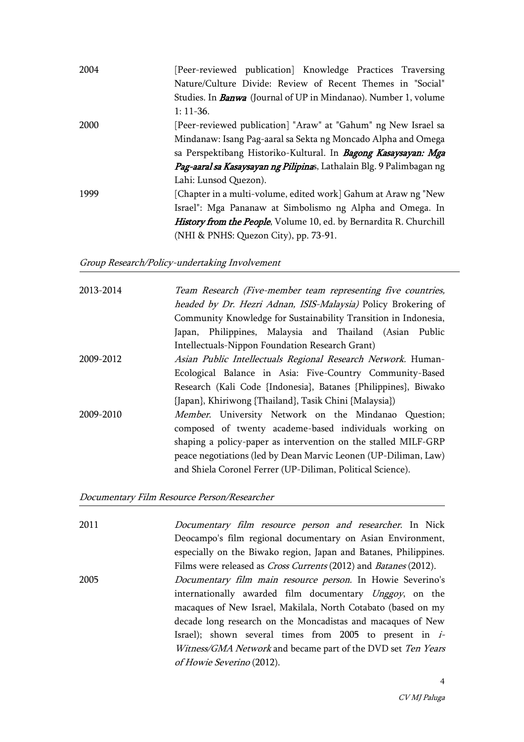| 2004 | [Peer-reviewed publication] Knowledge Practices Traversing             |
|------|------------------------------------------------------------------------|
|      | Nature/Culture Divide: Review of Recent Themes in "Social"             |
|      | Studies. In <b>Banwa</b> (Journal of UP in Mindanao). Number 1, volume |
|      | $1: 11-36.$                                                            |
| 2000 | [Peer-reviewed publication] "Araw" at "Gahum" ng New Israel sa         |
|      | Mindanaw: Isang Pag-aaral sa Sekta ng Moncado Alpha and Omega          |
|      | sa Perspektibang Historiko-Kultural. In Bagong Kasaysayan: Mga         |
|      | Pag-aaral sa Kasaysayan ng Pilipinas, Lathalain Blg. 9 Palimbagan ng   |
|      | Lahi: Lunsod Quezon).                                                  |
| 1999 | [Chapter in a multi-volume, edited work] Gahum at Araw ng "New         |
|      | Israel": Mga Pananaw at Simbolismo ng Alpha and Omega. In              |
|      | History from the People, Volume 10, ed. by Bernardita R. Churchill     |
|      | (NHI & PNHS: Quezon City), pp. 73-91.                                  |

#### Group Research/Policy-undertaking Involvement

| Team Research (Five-member team representing five countries,<br>headed by Dr. Hezri Adnan, ISIS-Malaysia) Policy Brokering of |
|-------------------------------------------------------------------------------------------------------------------------------|
| Community Knowledge for Sustainability Transition in Indonesia,                                                               |
| Japan, Philippines, Malaysia and Thailand (Asian Public                                                                       |
| Intellectuals-Nippon Foundation Research Grant)                                                                               |
| Asian Public Intellectuals Regional Research Network. Human-                                                                  |
| Ecological Balance in Asia: Five-Country Community-Based                                                                      |
| Research (Kali Code {Indonesia}, Batanes {Philippines}, Biwako                                                                |
| {Japan}, Khiriwong {Thailand}, Tasik Chini {Malaysia})                                                                        |
| Member. University Network on the Mindanao Question;                                                                          |
| composed of twenty academe-based individuals working on                                                                       |
| shaping a policy-paper as intervention on the stalled MILF-GRP                                                                |
| peace negotiations (led by Dean Marvic Leonen (UP-Diliman, Law)                                                               |
| and Shiela Coronel Ferrer (UP-Diliman, Political Science).                                                                    |
|                                                                                                                               |

Documentary Film Resource Person/Researcher

2011 Documentary film resource person and researcher. In Nick Deocampo's film regional documentary on Asian Environment, especially on the Biwako region, Japan and Batanes, Philippines. Films were released as *Cross Currents* (2012) and *Batanes* (2012). 2005 Documentary film main resource person. In Howie Severino's internationally awarded film documentary Unggoy, on the macaques of New Israel, Makilala, North Cotabato (based on my decade long research on the Moncadistas and macaques of New Israel); shown several times from 2005 to present in i-Witness/GMA Network and became part of the DVD set Ten Years of Howie Severino (2012).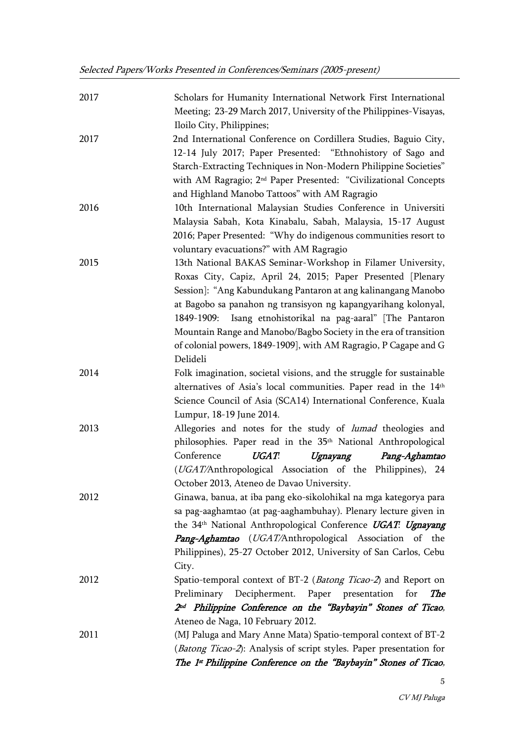| 2017 | Scholars for Humanity International Network First International<br>Meeting; 23-29 March 2017, University of the Philippines-Visayas,<br>Iloilo City, Philippines;                                                                                                                                                                                                                                                                                                                |
|------|----------------------------------------------------------------------------------------------------------------------------------------------------------------------------------------------------------------------------------------------------------------------------------------------------------------------------------------------------------------------------------------------------------------------------------------------------------------------------------|
| 2017 | 2nd International Conference on Cordillera Studies, Baguio City,<br>12-14 July 2017; Paper Presented: "Ethnohistory of Sago and<br>Starch-Extracting Techniques in Non-Modern Philippine Societies"<br>with AM Ragragio; 2 <sup>nd</sup> Paper Presented: "Civilizational Concepts<br>and Highland Manobo Tattoos" with AM Ragragio                                                                                                                                              |
| 2016 | 10th International Malaysian Studies Conference in Universiti<br>Malaysia Sabah, Kota Kinabalu, Sabah, Malaysia, 15-17 August<br>2016; Paper Presented: "Why do indigenous communities resort to<br>voluntary evacuations?" with AM Ragragio                                                                                                                                                                                                                                     |
| 2015 | 13th National BAKAS Seminar-Workshop in Filamer University,<br>Roxas City, Capiz, April 24, 2015; Paper Presented [Plenary<br>Session]: "Ang Kabundukang Pantaron at ang kalinangang Manobo<br>at Bagobo sa panahon ng transisyon ng kapangyarihang kolonyal,<br>1849-1909: Isang etnohistorikal na pag-aaral" [The Pantaron<br>Mountain Range and Manobo/Bagbo Society in the era of transition<br>of colonial powers, 1849-1909], with AM Ragragio, P Cagape and G<br>Delideli |
| 2014 | Folk imagination, societal visions, and the struggle for sustainable<br>alternatives of Asia's local communities. Paper read in the 14th<br>Science Council of Asia (SCA14) International Conference, Kuala<br>Lumpur, 18-19 June 2014.                                                                                                                                                                                                                                          |
| 2013 | Allegories and notes for the study of lumad theologies and<br>philosophies. Paper read in the 35 <sup>th</sup> National Anthropological<br>Conference<br>UGAT.<br>Ugnayang<br>Pang-Aghamtao<br>(UGAT/Anthropological Association of the Philippines), 24<br>October 2013, Ateneo de Davao University.                                                                                                                                                                            |
| 2012 | Ginawa, banua, at iba pang eko-sikolohikal na mga kategorya para<br>sa pag-aaghamtao (at pag-aaghambuhay). Plenary lecture given in<br>the 34th National Anthropological Conference UGAT: Ugnayang<br>Pang-Aghamtao (UGAT/Anthropological Association of the<br>Philippines), 25-27 October 2012, University of San Carlos, Cebu<br>City.                                                                                                                                        |
| 2012 | Spatio-temporal context of BT-2 (Batong Ticao-2) and Report on<br>Preliminary Decipherment. Paper presentation<br><b>The</b><br>for<br>2 <sup>nd</sup> Philippine Conference on the "Baybayin" Stones of Ticao,<br>Ateneo de Naga, 10 February 2012.                                                                                                                                                                                                                             |
| 2011 | (MJ Paluga and Mary Anne Mata) Spatio-temporal context of BT-2<br>(Batong Ticao-2): Analysis of script styles. Paper presentation for<br>The 1 <sup>st</sup> Philippine Conference on the "Baybayin" Stones of Ticao,                                                                                                                                                                                                                                                            |

5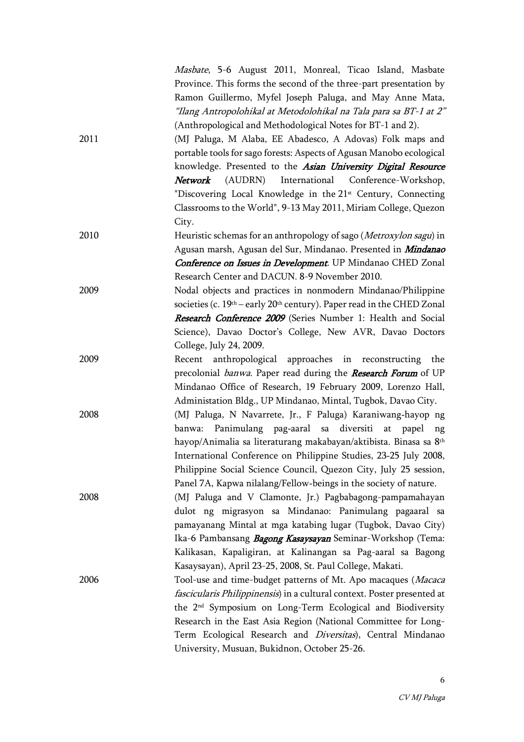|      | Masbate, 5-6 August 2011, Monreal, Ticao Island, Masbate                     |
|------|------------------------------------------------------------------------------|
|      | Province. This forms the second of the three-part presentation by            |
|      | Ramon Guillermo, Myfel Joseph Paluga, and May Anne Mata,                     |
|      | "Ilang Antropolohikal at Metodolohikal na Tala para sa BT-1 at 2"            |
|      | (Anthropological and Methodological Notes for BT-1 and 2).                   |
| 2011 | (MJ Paluga, M Alaba, EE Abadesco, A Adovas) Folk maps and                    |
|      | portable tools for sago forests: Aspects of Agusan Manobo ecological         |
|      | knowledge. Presented to the Asian University Digital Resource                |
|      | Network (AUDRN) International Conference-Workshop,                           |
|      | "Discovering Local Knowledge in the 21 <sup>st</sup> Century, Connecting     |
|      | Classrooms to the World", 9-13 May 2011, Miriam College, Quezon              |
|      | City.                                                                        |
| 2010 | Heuristic schemas for an anthropology of sago (Metroxylon sagu) in           |
|      | Agusan marsh, Agusan del Sur, Mindanao. Presented in <i>Mindanao</i>         |
|      | Conference on Issues in Development. UP Mindanao CHED Zonal                  |
|      | Research Center and DACUN. 8-9 November 2010.                                |
| 2009 | Nodal objects and practices in nonmodern Mindanao/Philippine                 |
|      | societies (c. $19th$ – early $20th$ century). Paper read in the CHED Zonal   |
|      | Research Conference 2009 (Series Number 1: Health and Social                 |
|      | Science), Davao Doctor's College, New AVR, Davao Doctors                     |
|      | College, July 24, 2009.                                                      |
| 2009 | Recent anthropological approaches in reconstructing the                      |
|      | precolonial <i>banwa</i> . Paper read during the <b>Research Forum</b> of UP |
|      | Mindanao Office of Research, 19 February 2009, Lorenzo Hall,                 |
|      | Administation Bldg., UP Mindanao, Mintal, Tugbok, Davao City.                |
| 2008 | (MJ Paluga, N Navarrete, Jr., F Paluga) Karaniwang-hayop ng                  |
|      | banwa: Panimulang pag-aaral sa diversiti at papel ng                         |
|      | hayop/Animalia sa literaturang makabayan/aktibista. Binasa sa 8th            |
|      | International Conference on Philippine Studies, 23-25 July 2008,             |
|      | Philippine Social Science Council, Quezon City, July 25 session,             |
|      | Panel 7A, Kapwa nilalang/Fellow-beings in the society of nature.             |
| 2008 | (MJ Paluga and V Clamonte, Jr.) Pagbabagong-pampamahayan                     |
|      | dulot ng migrasyon sa Mindanao: Panimulang pagaaral sa                       |
|      | pamayanang Mintal at mga katabing lugar (Tugbok, Davao City)                 |
|      | Ika-6 Pambansang Bagong Kasaysayan Seminar-Workshop (Tema:                   |
|      | Kalikasan, Kapaligiran, at Kalinangan sa Pag-aaral sa Bagong                 |
|      | Kasaysayan), April 23-25, 2008, St. Paul College, Makati.                    |
| 2006 | Tool-use and time-budget patterns of Mt. Apo macaques (Macaca                |
|      | fascicularis Philippinensis) in a cultural context. Poster presented at      |
|      | the 2 <sup>nd</sup> Symposium on Long-Term Ecological and Biodiversity       |
|      | Research in the East Asia Region (National Committee for Long-               |
|      | Term Ecological Research and <i>Diversitas</i> ), Central Mindanao           |
|      | University, Musuan, Bukidnon, October 25-26.                                 |
|      |                                                                              |